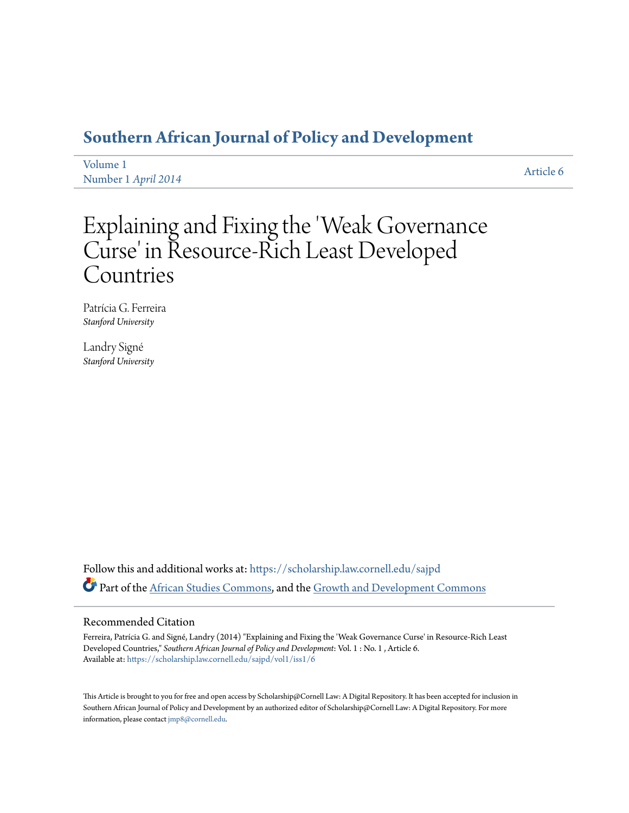# **[Southern African Journal of Policy and Development](https://scholarship.law.cornell.edu/sajpd?utm_source=scholarship.law.cornell.edu%2Fsajpd%2Fvol1%2Fiss1%2F6&utm_medium=PDF&utm_campaign=PDFCoverPages)**

[Volume 1](https://scholarship.law.cornell.edu/sajpd/vol1?utm_source=scholarship.law.cornell.edu%2Fsajpd%2Fvol1%2Fiss1%2F6&utm_medium=PDF&utm_campaign=PDFCoverPages) Number 1 *[April 2014](https://scholarship.law.cornell.edu/sajpd/vol1/iss1?utm_source=scholarship.law.cornell.edu%2Fsajpd%2Fvol1%2Fiss1%2F6&utm_medium=PDF&utm_campaign=PDFCoverPages)* [Article 6](https://scholarship.law.cornell.edu/sajpd/vol1/iss1/6?utm_source=scholarship.law.cornell.edu%2Fsajpd%2Fvol1%2Fiss1%2F6&utm_medium=PDF&utm_campaign=PDFCoverPages)

# Explaining and Fixing the 'Weak Governance Curse' in Resource-Rich Least Developed Countries

Patrícia G. Ferreira *Stanford University*

Landry Signé *Stanford University*

Follow this and additional works at: [https://scholarship.law.cornell.edu/sajpd](https://scholarship.law.cornell.edu/sajpd?utm_source=scholarship.law.cornell.edu%2Fsajpd%2Fvol1%2Fiss1%2F6&utm_medium=PDF&utm_campaign=PDFCoverPages) Part of the [African Studies Commons](http://network.bepress.com/hgg/discipline/1043?utm_source=scholarship.law.cornell.edu%2Fsajpd%2Fvol1%2Fiss1%2F6&utm_medium=PDF&utm_campaign=PDFCoverPages), and the [Growth and Development Commons](http://network.bepress.com/hgg/discipline/346?utm_source=scholarship.law.cornell.edu%2Fsajpd%2Fvol1%2Fiss1%2F6&utm_medium=PDF&utm_campaign=PDFCoverPages)

#### Recommended Citation

Ferreira, Patrícia G. and Signé, Landry (2014) "Explaining and Fixing the 'Weak Governance Curse' in Resource-Rich Least Developed Countries," *Southern African Journal of Policy and Development*: Vol. 1 : No. 1 , Article 6. Available at: [https://scholarship.law.cornell.edu/sajpd/vol1/iss1/6](https://scholarship.law.cornell.edu/sajpd/vol1/iss1/6?utm_source=scholarship.law.cornell.edu%2Fsajpd%2Fvol1%2Fiss1%2F6&utm_medium=PDF&utm_campaign=PDFCoverPages)

This Article is brought to you for free and open access by Scholarship@Cornell Law: A Digital Repository. It has been accepted for inclusion in Southern African Journal of Policy and Development by an authorized editor of Scholarship@Cornell Law: A Digital Repository. For more information, please contact [jmp8@cornell.edu.](mailto:jmp8@cornell.edu)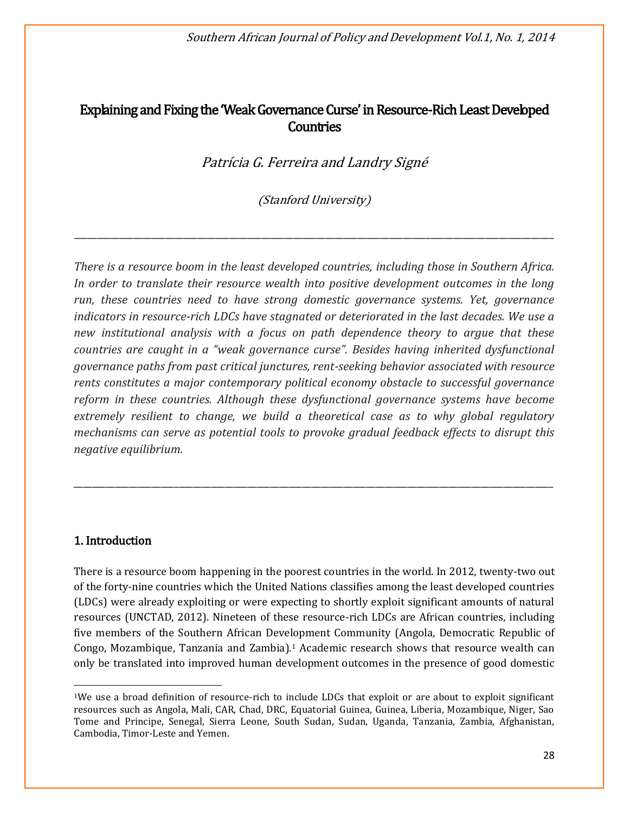Southern African Journal of Policy and Development Vol.1, No. 1, 2014

# Explaining and Fixing the 'Weak Governance Curse' in Resource-Rich Least Developed **Countries**

Patrícia G. Ferreira and Landry Signé

(Stanford University)

\_\_\_\_\_\_\_\_\_\_\_\_\_\_\_\_\_\_\_\_\_\_\_\_\_\_\_\_\_\_\_\_\_\_\_\_\_\_\_\_\_\_\_\_\_\_\_\_\_\_\_\_\_\_\_\_\_\_\_\_\_\_\_\_\_\_\_\_\_\_\_\_\_\_\_\_\_\_\_\_\_\_\_\_\_\_\_\_\_\_\_\_\_\_\_\_\_\_\_\_\_\_\_\_\_

*There is a resource boom in the least developed countries, including those in Southern Africa. In order to translate their resource wealth into positive development outcomes in the long run, these countries need to have strong domestic governance systems. Yet, governance indicators in resource-rich LDCs have stagnated or deteriorated in the last decades. We use a new institutional analysis with a focus on path dependence theory to argue that these countries are caught in a "weak governance curse". Besides having inherited dysfunctional governance paths from past critical junctures, rent-seeking behavior associated with resource rents constitutes a major contemporary political economy obstacle to successful governance reform in these countries. Although these dysfunctional governance systems have become extremely resilient to change, we build a theoretical case as to why global regulatory mechanisms can serve as potential tools to provoke gradual feedback effects to disrupt this negative equilibrium.*

\_\_\_\_\_\_\_\_\_\_\_\_\_\_\_\_\_\_\_\_\_\_\_\_\_\_\_\_\_\_\_\_\_\_\_\_\_\_\_\_\_\_\_\_\_\_\_\_\_\_\_\_\_\_\_\_\_\_\_\_\_\_\_\_\_\_\_\_\_\_\_\_\_\_\_\_\_\_\_\_\_\_\_\_\_\_\_\_\_\_\_\_\_\_\_\_\_\_\_\_\_\_\_\_\_

# 1. Introduction

 $\overline{a}$ 

There is a resource boom happening in the poorest countries in the world. In 2012, twenty-two out of the forty-nine countries which the United Nations classifies among the least developed countries (LDCs) were already exploiting or were expecting to shortly exploit significant amounts of natural resources (UNCTAD, 2012). Nineteen of these resource-rich LDCs are African countries, including five members of the Southern African Development Community (Angola, Democratic Republic of Congo, Mozambique, Tanzania and Zambia).<sup>1</sup> Academic research shows that resource wealth can only be translated into improved human development outcomes in the presence of good domestic

<sup>1</sup>We use a broad definition of resource-rich to include LDCs that exploit or are about to exploit significant resources such as Angola, Mali, CAR, Chad, DRC, Equatorial Guinea, Guinea, Liberia, Mozambique, Niger, Sao Tome and Principe, Senegal, Sierra Leone, South Sudan, Sudan, Uganda, Tanzania, Zambia, Afghanistan, Cambodia, Timor-Leste and Yemen.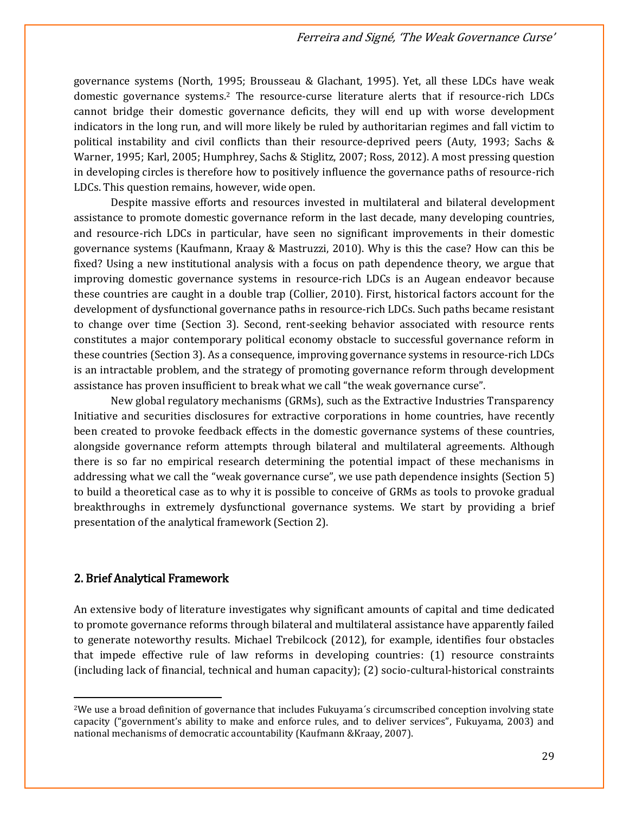governance systems (North, 1995; Brousseau & Glachant, 1995). Yet, all these LDCs have weak domestic governance systems.<sup>2</sup> The resource-curse literature alerts that if resource-rich LDCs cannot bridge their domestic governance deficits, they will end up with worse development indicators in the long run, and will more likely be ruled by authoritarian regimes and fall victim to political instability and civil conflicts than their resource-deprived peers (Auty, 1993; Sachs & Warner, 1995; Karl, 2005; Humphrey, Sachs & Stiglitz, 2007; Ross, 2012). A most pressing question in developing circles is therefore how to positively influence the governance paths of resource-rich LDCs. This question remains, however, wide open.

Despite massive efforts and resources invested in multilateral and bilateral development assistance to promote domestic governance reform in the last decade, many developing countries, and resource-rich LDCs in particular, have seen no significant improvements in their domestic governance systems (Kaufmann, Kraay & Mastruzzi, 2010). Why is this the case? How can this be fixed? Using a new institutional analysis with a focus on path dependence theory, we argue that improving domestic governance systems in resource-rich LDCs is an Augean endeavor because these countries are caught in a double trap (Collier, 2010). First, historical factors account for the development of dysfunctional governance paths in resource-rich LDCs. Such paths became resistant to change over time (Section 3). Second, rent-seeking behavior associated with resource rents constitutes a major contemporary political economy obstacle to successful governance reform in these countries (Section 3). As a consequence, improving governance systems in resource-rich LDCs is an intractable problem, and the strategy of promoting governance reform through development assistance has proven insufficient to break what we call "the weak governance curse".

New global regulatory mechanisms (GRMs), such as the Extractive Industries Transparency Initiative and securities disclosures for extractive corporations in home countries, have recently been created to provoke feedback effects in the domestic governance systems of these countries, alongside governance reform attempts through bilateral and multilateral agreements. Although there is so far no empirical research determining the potential impact of these mechanisms in addressing what we call the "weak governance curse", we use path dependence insights (Section 5) to build a theoretical case as to why it is possible to conceive of GRMs as tools to provoke gradual breakthroughs in extremely dysfunctional governance systems. We start by providing a brief presentation of the analytical framework (Section 2).

## 2. Brief Analytical Framework

 $\overline{\phantom{a}}$ 

An extensive body of literature investigates why significant amounts of capital and time dedicated to promote governance reforms through bilateral and multilateral assistance have apparently failed to generate noteworthy results. Michael Trebilcock (2012), for example, identifies four obstacles that impede effective rule of law reforms in developing countries: (1) resource constraints (including lack of financial, technical and human capacity); (2) socio-cultural-historical constraints

<sup>2</sup>We use a broad definition of governance that includes Fukuyama´s circumscribed conception involving state capacity ("government's ability to make and enforce rules, and to deliver services", Fukuyama, 2003) and national mechanisms of democratic accountability (Kaufmann &Kraay, 2007).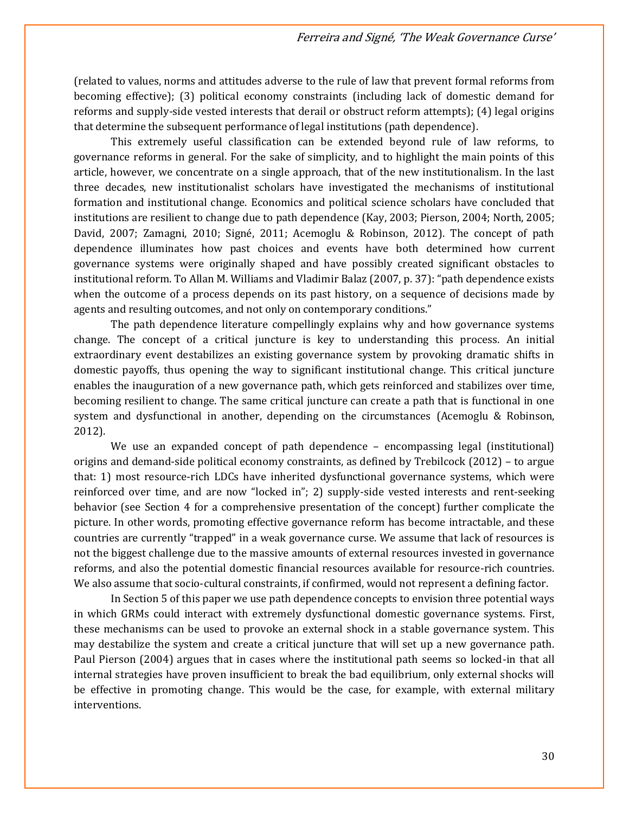(related to values, norms and attitudes adverse to the rule of law that prevent formal reforms from becoming effective); (3) political economy constraints (including lack of domestic demand for reforms and supply-side vested interests that derail or obstruct reform attempts); (4) legal origins that determine the subsequent performance of legal institutions (path dependence).

This extremely useful classification can be extended beyond rule of law reforms, to governance reforms in general. For the sake of simplicity, and to highlight the main points of this article, however, we concentrate on a single approach, that of the new institutionalism. In the last three decades, new institutionalist scholars have investigated the mechanisms of institutional formation and institutional change. Economics and political science scholars have concluded that institutions are resilient to change due to path dependence (Kay, 2003; Pierson, 2004; North, 2005; David, 2007; Zamagni, 2010; Signé, 2011; Acemoglu & Robinson, 2012). The concept of path dependence illuminates how past choices and events have both determined how current governance systems were originally shaped and have possibly created significant obstacles to institutional reform. To Allan M. Williams and Vladimir Balaz (2007, p. 37): "path dependence exists when the outcome of a process depends on its past history, on a sequence of decisions made by agents and resulting outcomes, and not only on contemporary conditions."

The path dependence literature compellingly explains why and how governance systems change. The concept of a critical juncture is key to understanding this process. An initial extraordinary event destabilizes an existing governance system by provoking dramatic shifts in domestic payoffs, thus opening the way to significant institutional change. This critical juncture enables the inauguration of a new governance path, which gets reinforced and stabilizes over time, becoming resilient to change. The same critical juncture can create a path that is functional in one system and dysfunctional in another, depending on the circumstances (Acemoglu & Robinson, 2012).

We use an expanded concept of path dependence – encompassing legal (institutional) origins and demand-side political economy constraints, as defined by Trebilcock (2012) – to argue that: 1) most resource-rich LDCs have inherited dysfunctional governance systems, which were reinforced over time, and are now "locked in"; 2) supply-side vested interests and rent-seeking behavior (see Section 4 for a comprehensive presentation of the concept) further complicate the picture. In other words, promoting effective governance reform has become intractable, and these countries are currently "trapped" in a weak governance curse. We assume that lack of resources is not the biggest challenge due to the massive amounts of external resources invested in governance reforms, and also the potential domestic financial resources available for resource-rich countries. We also assume that socio-cultural constraints, if confirmed, would not represent a defining factor.

In Section 5 of this paper we use path dependence concepts to envision three potential ways in which GRMs could interact with extremely dysfunctional domestic governance systems. First, these mechanisms can be used to provoke an external shock in a stable governance system. This may destabilize the system and create a critical juncture that will set up a new governance path. Paul Pierson (2004) argues that in cases where the institutional path seems so locked-in that all internal strategies have proven insufficient to break the bad equilibrium, only external shocks will be effective in promoting change. This would be the case, for example, with external military interventions.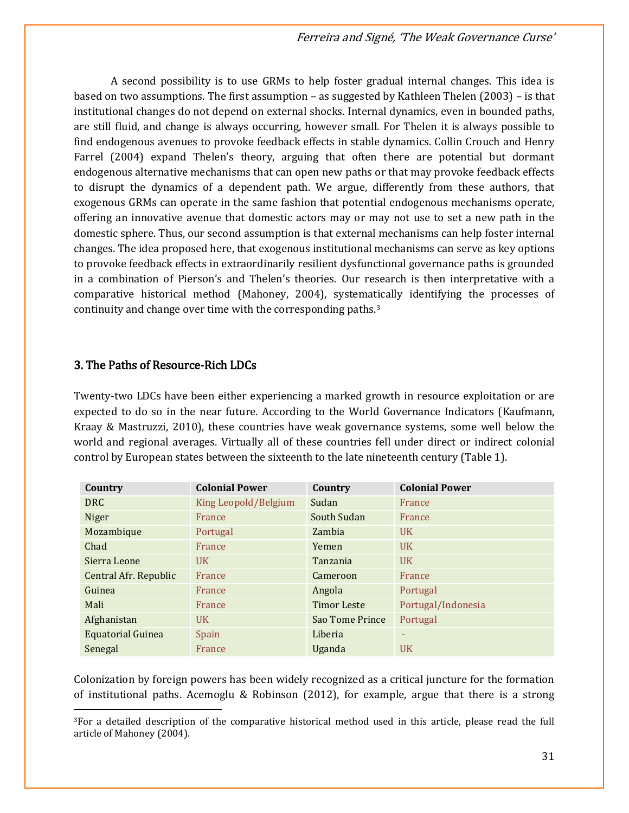A second possibility is to use GRMs to help foster gradual internal changes. This idea is based on two assumptions. The first assumption – as suggested by Kathleen Thelen (2003) – is that institutional changes do not depend on external shocks. Internal dynamics, even in bounded paths, are still fluid, and change is always occurring, however small. For Thelen it is always possible to find endogenous avenues to provoke feedback effects in stable dynamics. Collin Crouch and Henry Farrel (2004) expand Thelen's theory, arguing that often there are potential but dormant endogenous alternative mechanisms that can open new paths or that may provoke feedback effects to disrupt the dynamics of a dependent path. We argue, differently from these authors, that exogenous GRMs can operate in the same fashion that potential endogenous mechanisms operate, offering an innovative avenue that domestic actors may or may not use to set a new path in the domestic sphere. Thus, our second assumption is that external mechanisms can help foster internal changes. The idea proposed here, that exogenous institutional mechanisms can serve as key options to provoke feedback effects in extraordinarily resilient dysfunctional governance paths is grounded in a combination of Pierson's and Thelen's theories. Our research is then interpretative with a comparative historical method (Mahoney, 2004), systematically identifying the processes of continuity and change over time with the corresponding paths.<sup>3</sup>

# 3. The Paths of Resource-Rich LDCs

 $\overline{\phantom{a}}$ 

Twenty-two LDCs have been either experiencing a marked growth in resource exploitation or are expected to do so in the near future. According to the World Governance Indicators (Kaufmann, Kraay & Mastruzzi, 2010), these countries have weak governance systems, some well below the world and regional averages. Virtually all of these countries fell under direct or indirect colonial control by European states between the sixteenth to the late nineteenth century (Table 1).

| Country                  | <b>Colonial Power</b> | Country            | <b>Colonial Power</b> |
|--------------------------|-----------------------|--------------------|-----------------------|
| <b>DRC</b>               | King Leopold/Belgium  | Sudan              | France                |
| Niger                    | France                | South Sudan        | France                |
| Mozambique               | Portugal              | Zambia             | <b>UK</b>             |
| Chad                     | France                | Yemen              | <b>UK</b>             |
| Sierra Leone             | $_{\rm{UK}}$          | Tanzania           | <b>UK</b>             |
| Central Afr. Republic    | France                | Cameroon           | France                |
| Guinea                   | France                | Angola             | Portugal              |
| Mali                     | France                | <b>Timor Leste</b> | Portugal/Indonesia    |
| Afghanistan              | <b>UK</b>             | Sao Tome Prince    | Portugal              |
| <b>Equatorial Guinea</b> | Spain                 | Liberia            | ٠                     |
| Senegal                  | France                | Uganda             | <b>UK</b>             |

Colonization by foreign powers has been widely recognized as a critical juncture for the formation of institutional paths. Acemoglu & Robinson (2012), for example, argue that there is a strong

<sup>3</sup>For a detailed description of the comparative historical method used in this article, please read the full article of Mahoney (2004).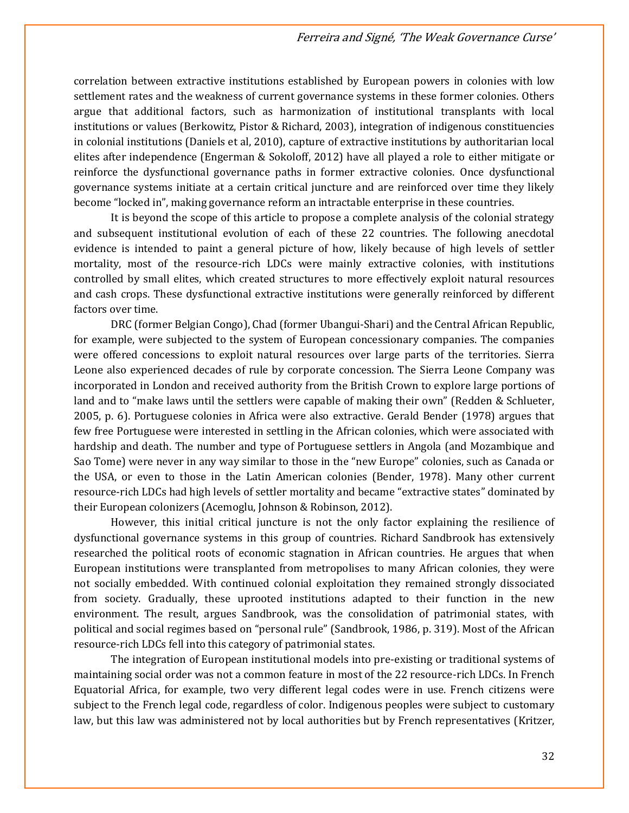correlation between extractive institutions established by European powers in colonies with low settlement rates and the weakness of current governance systems in these former colonies. Others argue that additional factors, such as harmonization of institutional transplants with local institutions or values (Berkowitz, Pistor & Richard, 2003), integration of indigenous constituencies in colonial institutions (Daniels et al, 2010), capture of extractive institutions by authoritarian local elites after independence (Engerman & Sokoloff, 2012) have all played a role to either mitigate or reinforce the dysfunctional governance paths in former extractive colonies. Once dysfunctional governance systems initiate at a certain critical juncture and are reinforced over time they likely become "locked in", making governance reform an intractable enterprise in these countries.

It is beyond the scope of this article to propose a complete analysis of the colonial strategy and subsequent institutional evolution of each of these 22 countries. The following anecdotal evidence is intended to paint a general picture of how, likely because of high levels of settler mortality, most of the resource-rich LDCs were mainly extractive colonies, with institutions controlled by small elites, which created structures to more effectively exploit natural resources and cash crops. These dysfunctional extractive institutions were generally reinforced by different factors over time.

DRC (former Belgian Congo), Chad (former Ubangui-Shari) and the Central African Republic, for example, were subjected to the system of European concessionary companies. The companies were offered concessions to exploit natural resources over large parts of the territories. Sierra Leone also experienced decades of rule by corporate concession. The Sierra Leone Company was incorporated in London and received authority from the British Crown to explore large portions of land and to "make laws until the settlers were capable of making their own" (Redden & Schlueter, 2005, p. 6). Portuguese colonies in Africa were also extractive. Gerald Bender (1978) argues that few free Portuguese were interested in settling in the African colonies, which were associated with hardship and death. The number and type of Portuguese settlers in Angola (and Mozambique and Sao Tome) were never in any way similar to those in the "new Europe" colonies, such as Canada or the USA, or even to those in the Latin American colonies (Bender, 1978). Many other current resource-rich LDCs had high levels of settler mortality and became "extractive states" dominated by their European colonizers (Acemoglu, Johnson & Robinson, 2012).

However, this initial critical juncture is not the only factor explaining the resilience of dysfunctional governance systems in this group of countries. Richard Sandbrook has extensively researched the political roots of economic stagnation in African countries. He argues that when European institutions were transplanted from metropolises to many African colonies, they were not socially embedded. With continued colonial exploitation they remained strongly dissociated from society. Gradually, these uprooted institutions adapted to their function in the new environment. The result, argues Sandbrook, was the consolidation of patrimonial states, with political and social regimes based on "personal rule" (Sandbrook, 1986, p. 319). Most of the African resource-rich LDCs fell into this category of patrimonial states.

The integration of European institutional models into pre-existing or traditional systems of maintaining social order was not a common feature in most of the 22 resource-rich LDCs. In French Equatorial Africa, for example, two very different legal codes were in use. French citizens were subject to the French legal code, regardless of color. Indigenous peoples were subject to customary law, but this law was administered not by local authorities but by French representatives (Kritzer,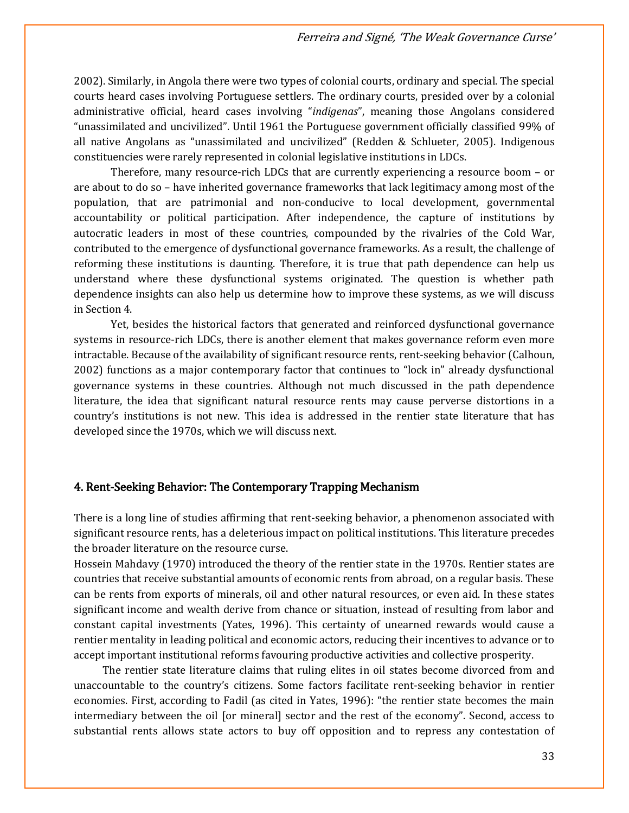2002). Similarly, in Angola there were two types of colonial courts, ordinary and special. The special courts heard cases involving Portuguese settlers. The ordinary courts, presided over by a colonial administrative official, heard cases involving "*indigenas*", meaning those Angolans considered "unassimilated and uncivilized". Until 1961 the Portuguese government officially classified 99% of all native Angolans as "unassimilated and uncivilized" (Redden & Schlueter, 2005). Indigenous constituencies were rarely represented in colonial legislative institutions in LDCs.

Therefore, many resource-rich LDCs that are currently experiencing a resource boom – or are about to do so – have inherited governance frameworks that lack legitimacy among most of the population, that are patrimonial and non-conducive to local development, governmental accountability or political participation. After independence, the capture of institutions by autocratic leaders in most of these countries, compounded by the rivalries of the Cold War, contributed to the emergence of dysfunctional governance frameworks. As a result, the challenge of reforming these institutions is daunting. Therefore, it is true that path dependence can help us understand where these dysfunctional systems originated. The question is whether path dependence insights can also help us determine how to improve these systems, as we will discuss in Section 4.

Yet, besides the historical factors that generated and reinforced dysfunctional governance systems in resource-rich LDCs, there is another element that makes governance reform even more intractable. Because of the availability of significant resource rents, rent-seeking behavior (Calhoun, 2002) functions as a major contemporary factor that continues to "lock in" already dysfunctional governance systems in these countries. Although not much discussed in the path dependence literature, the idea that significant natural resource rents may cause perverse distortions in a country's institutions is not new. This idea is addressed in the rentier state literature that has developed since the 1970s, which we will discuss next.

# 4. Rent-Seeking Behavior: The Contemporary Trapping Mechanism

There is a long line of studies affirming that rent-seeking behavior, a phenomenon associated with significant resource rents, has a deleterious impact on political institutions. This literature precedes the broader literature on the resource curse.

Hossein Mahdavy (1970) introduced the theory of the rentier state in the 1970s. Rentier states are countries that receive substantial amounts of economic rents from abroad, on a regular basis. These can be rents from exports of minerals, oil and other natural resources, or even aid. In these states significant income and wealth derive from chance or situation, instead of resulting from labor and constant capital investments (Yates, 1996). This certainty of unearned rewards would cause a rentier mentality in leading political and economic actors, reducing their incentives to advance or to accept important institutional reforms favouring productive activities and collective prosperity.

The rentier state literature claims that ruling elites in oil states become divorced from and unaccountable to the country's citizens. Some factors facilitate rent-seeking behavior in rentier economies. First, according to Fadil (as cited in Yates, 1996): "the rentier state becomes the main intermediary between the oil [or mineral] sector and the rest of the economy". Second, access to substantial rents allows state actors to buy off opposition and to repress any contestation of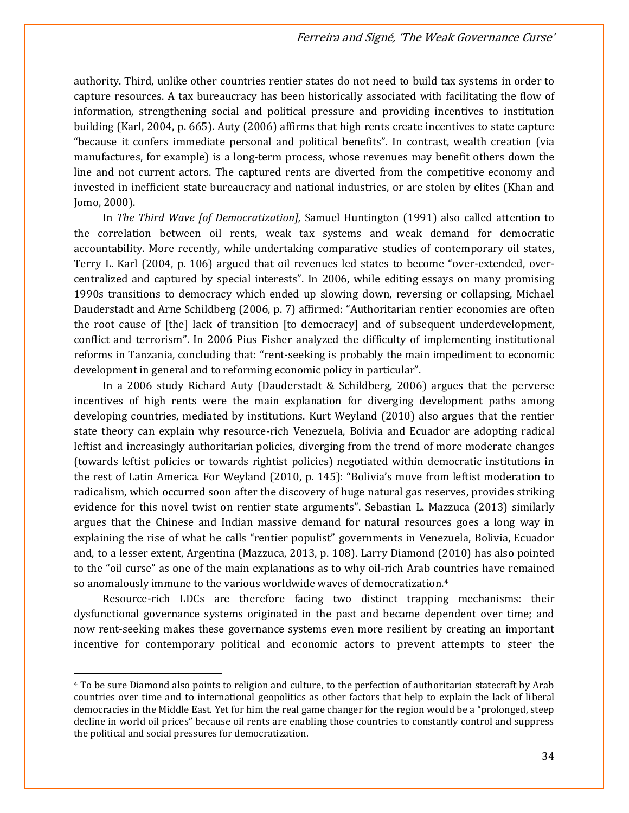authority. Third, unlike other countries rentier states do not need to build tax systems in order to capture resources. A tax bureaucracy has been historically associated with facilitating the flow of information, strengthening social and political pressure and providing incentives to institution building (Karl, 2004, p. 665). Auty (2006) affirms that high rents create incentives to state capture "because it confers immediate personal and political benefits". In contrast, wealth creation (via manufactures, for example) is a long-term process, whose revenues may benefit others down the line and not current actors. The captured rents are diverted from the competitive economy and invested in inefficient state bureaucracy and national industries, or are stolen by elites (Khan and Jomo, 2000).

In *The Third Wave [of Democratization],* Samuel Huntington (1991) also called attention to the correlation between oil rents, weak tax systems and weak demand for democratic accountability. More recently, while undertaking comparative studies of contemporary oil states, Terry L. Karl (2004, p. 106) argued that oil revenues led states to become "over-extended, overcentralized and captured by special interests". In 2006, while editing essays on many promising 1990s transitions to democracy which ended up slowing down, reversing or collapsing, Michael Dauderstadt and Arne Schildberg (2006, p. 7) affirmed: "Authoritarian rentier economies are often the root cause of [the] lack of transition [to democracy] and of subsequent underdevelopment, conflict and terrorism". In 2006 Pius Fisher analyzed the difficulty of implementing institutional reforms in Tanzania, concluding that: "rent-seeking is probably the main impediment to economic development in general and to reforming economic policy in particular".

In a 2006 study Richard Auty (Dauderstadt & Schildberg, 2006) argues that the perverse incentives of high rents were the main explanation for diverging development paths among developing countries, mediated by institutions. Kurt Weyland (2010) also argues that the rentier state theory can explain why resource-rich Venezuela, Bolivia and Ecuador are adopting radical leftist and increasingly authoritarian policies, diverging from the trend of more moderate changes (towards leftist policies or towards rightist policies) negotiated within democratic institutions in the rest of Latin America. For Weyland (2010, p. 145): "Bolivia's move from leftist moderation to radicalism, which occurred soon after the discovery of huge natural gas reserves, provides striking evidence for this novel twist on rentier state arguments". Sebastian L. Mazzuca (2013) similarly argues that the Chinese and Indian massive demand for natural resources goes a long way in explaining the rise of what he calls "rentier populist" governments in Venezuela, Bolivia, Ecuador and, to a lesser extent, Argentina (Mazzuca, 2013, p. 108). Larry Diamond (2010) has also pointed to the "oil curse" as one of the main explanations as to why oil-rich Arab countries have remained so anomalously immune to the various worldwide waves of democratization.<sup>4</sup>

Resource-rich LDCs are therefore facing two distinct trapping mechanisms: their dysfunctional governance systems originated in the past and became dependent over time; and now rent-seeking makes these governance systems even more resilient by creating an important incentive for contemporary political and economic actors to prevent attempts to steer the

 $\overline{a}$ 

<sup>4</sup> To be sure Diamond also points to religion and culture, to the perfection of authoritarian statecraft by Arab countries over time and to international geopolitics as other factors that help to explain the lack of liberal democracies in the Middle East. Yet for him the real game changer for the region would be a "prolonged, steep decline in world oil prices" because oil rents are enabling those countries to constantly control and suppress the political and social pressures for democratization.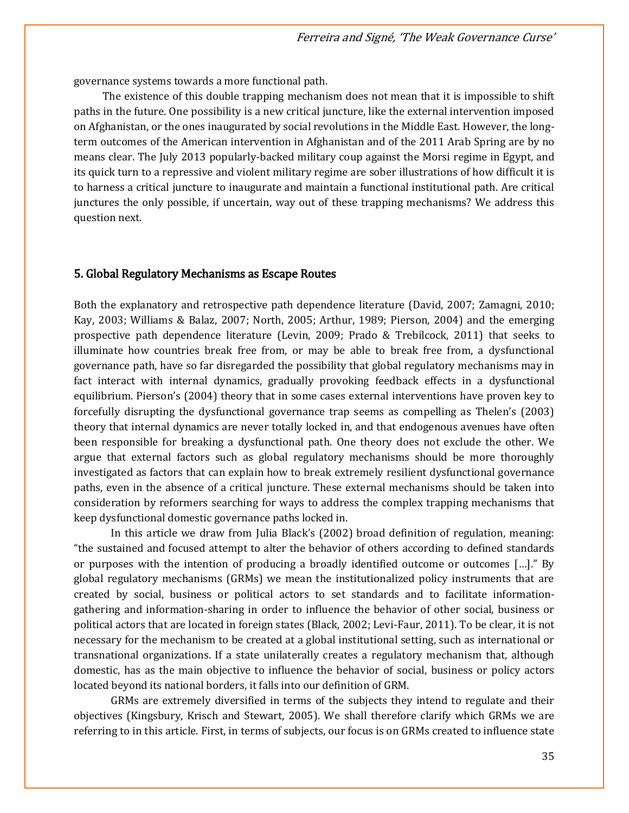governance systems towards a more functional path.

The existence of this double trapping mechanism does not mean that it is impossible to shift paths in the future. One possibility is a new critical juncture, like the external intervention imposed on Afghanistan, or the ones inaugurated by social revolutions in the Middle East. However, the longterm outcomes of the American intervention in Afghanistan and of the 2011 Arab Spring are by no means clear. The July 2013 popularly-backed military coup against the Morsi regime in Egypt, and its quick turn to a repressive and violent military regime are sober illustrations of how difficult it is to harness a critical juncture to inaugurate and maintain a functional institutional path. Are critical junctures the only possible, if uncertain, way out of these trapping mechanisms? We address this question next.

#### 5. Global Regulatory Mechanisms as Escape Routes

Both the explanatory and retrospective path dependence literature (David, 2007; Zamagni, 2010; Kay, 2003; Williams & Balaz, 2007; North, 2005; Arthur, 1989; Pierson, 2004) and the emerging prospective path dependence literature (Levin, 2009; Prado & Trebilcock, 2011) that seeks to illuminate how countries break free from, or may be able to break free from, a dysfunctional governance path, have so far disregarded the possibility that global regulatory mechanisms may in fact interact with internal dynamics, gradually provoking feedback effects in a dysfunctional equilibrium. Pierson's (2004) theory that in some cases external interventions have proven key to forcefully disrupting the dysfunctional governance trap seems as compelling as Thelen's (2003) theory that internal dynamics are never totally locked in, and that endogenous avenues have often been responsible for breaking a dysfunctional path. One theory does not exclude the other. We argue that external factors such as global regulatory mechanisms should be more thoroughly investigated as factors that can explain how to break extremely resilient dysfunctional governance paths, even in the absence of a critical juncture. These external mechanisms should be taken into consideration by reformers searching for ways to address the complex trapping mechanisms that keep dysfunctional domestic governance paths locked in.

In this article we draw from Julia Black's (2002) broad definition of regulation, meaning: "the sustained and focused attempt to alter the behavior of others according to defined standards or purposes with the intention of producing a broadly identified outcome or outcomes […]." By global regulatory mechanisms (GRMs) we mean the institutionalized policy instruments that are created by social, business or political actors to set standards and to facilitate informationgathering and information-sharing in order to influence the behavior of other social, business or political actors that are located in foreign states (Black, 2002; Levi-Faur, 2011). To be clear, it is not necessary for the mechanism to be created at a global institutional setting, such as international or transnational organizations. If a state unilaterally creates a regulatory mechanism that, although domestic, has as the main objective to influence the behavior of social, business or policy actors located beyond its national borders, it falls into our definition of GRM.

GRMs are extremely diversified in terms of the subjects they intend to regulate and their objectives (Kingsbury, Krisch and Stewart, 2005). We shall therefore clarify which GRMs we are referring to in this article. First, in terms of subjects, our focus is on GRMs created to influence state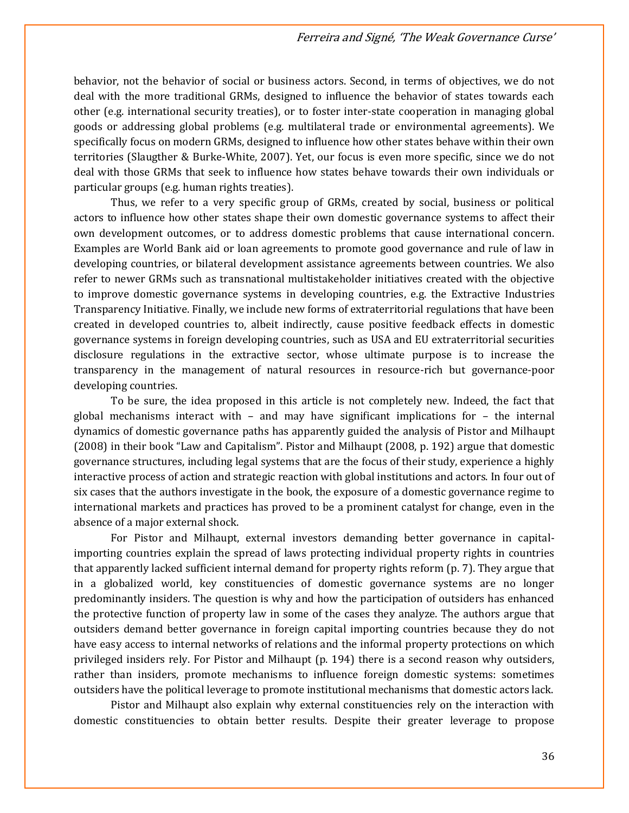behavior, not the behavior of social or business actors. Second, in terms of objectives, we do not deal with the more traditional GRMs, designed to influence the behavior of states towards each other (e.g. international security treaties), or to foster inter-state cooperation in managing global goods or addressing global problems (e.g. multilateral trade or environmental agreements). We specifically focus on modern GRMs, designed to influence how other states behave within their own territories (Slaugther & Burke-White, 2007). Yet, our focus is even more specific, since we do not deal with those GRMs that seek to influence how states behave towards their own individuals or particular groups (e.g. human rights treaties).

Thus, we refer to a very specific group of GRMs, created by social, business or political actors to influence how other states shape their own domestic governance systems to affect their own development outcomes, or to address domestic problems that cause international concern. Examples are World Bank aid or loan agreements to promote good governance and rule of law in developing countries, or bilateral development assistance agreements between countries. We also refer to newer GRMs such as transnational multistakeholder initiatives created with the objective to improve domestic governance systems in developing countries, e.g. the Extractive Industries Transparency Initiative. Finally, we include new forms of extraterritorial regulations that have been created in developed countries to, albeit indirectly, cause positive feedback effects in domestic governance systems in foreign developing countries, such as USA and EU extraterritorial securities disclosure regulations in the extractive sector, whose ultimate purpose is to increase the transparency in the management of natural resources in resource-rich but governance-poor developing countries.

To be sure, the idea proposed in this article is not completely new. Indeed, the fact that global mechanisms interact with – and may have significant implications for – the internal dynamics of domestic governance paths has apparently guided the analysis of Pistor and Milhaupt (2008) in their book "Law and Capitalism". Pistor and Milhaupt (2008, p. 192) argue that domestic governance structures, including legal systems that are the focus of their study, experience a highly interactive process of action and strategic reaction with global institutions and actors. In four out of six cases that the authors investigate in the book, the exposure of a domestic governance regime to international markets and practices has proved to be a prominent catalyst for change, even in the absence of a major external shock.

For Pistor and Milhaupt, external investors demanding better governance in capitalimporting countries explain the spread of laws protecting individual property rights in countries that apparently lacked sufficient internal demand for property rights reform (p. 7). They argue that in a globalized world, key constituencies of domestic governance systems are no longer predominantly insiders. The question is why and how the participation of outsiders has enhanced the protective function of property law in some of the cases they analyze. The authors argue that outsiders demand better governance in foreign capital importing countries because they do not have easy access to internal networks of relations and the informal property protections on which privileged insiders rely. For Pistor and Milhaupt (p. 194) there is a second reason why outsiders, rather than insiders, promote mechanisms to influence foreign domestic systems: sometimes outsiders have the political leverage to promote institutional mechanisms that domestic actors lack.

Pistor and Milhaupt also explain why external constituencies rely on the interaction with domestic constituencies to obtain better results. Despite their greater leverage to propose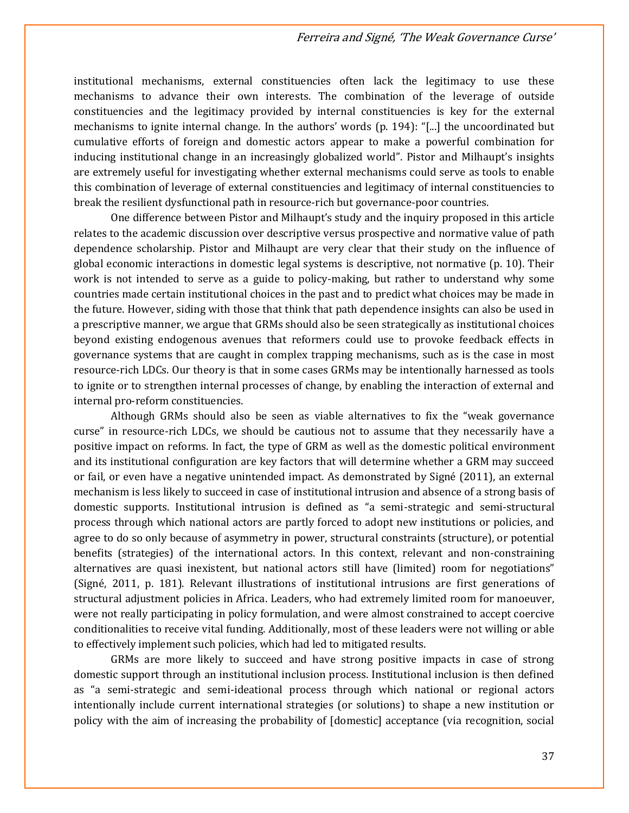institutional mechanisms, external constituencies often lack the legitimacy to use these mechanisms to advance their own interests. The combination of the leverage of outside constituencies and the legitimacy provided by internal constituencies is key for the external mechanisms to ignite internal change. In the authors' words (p. 194): "[...] the uncoordinated but cumulative efforts of foreign and domestic actors appear to make a powerful combination for inducing institutional change in an increasingly globalized world". Pistor and Milhaupt's insights are extremely useful for investigating whether external mechanisms could serve as tools to enable this combination of leverage of external constituencies and legitimacy of internal constituencies to break the resilient dysfunctional path in resource-rich but governance-poor countries.

One difference between Pistor and Milhaupt's study and the inquiry proposed in this article relates to the academic discussion over descriptive versus prospective and normative value of path dependence scholarship. Pistor and Milhaupt are very clear that their study on the influence of global economic interactions in domestic legal systems is descriptive, not normative (p. 10). Their work is not intended to serve as a guide to policy-making, but rather to understand why some countries made certain institutional choices in the past and to predict what choices may be made in the future. However, siding with those that think that path dependence insights can also be used in a prescriptive manner, we argue that GRMs should also be seen strategically as institutional choices beyond existing endogenous avenues that reformers could use to provoke feedback effects in governance systems that are caught in complex trapping mechanisms, such as is the case in most resource-rich LDCs. Our theory is that in some cases GRMs may be intentionally harnessed as tools to ignite or to strengthen internal processes of change, by enabling the interaction of external and internal pro-reform constituencies.

Although GRMs should also be seen as viable alternatives to fix the "weak governance curse" in resource-rich LDCs, we should be cautious not to assume that they necessarily have a positive impact on reforms. In fact, the type of GRM as well as the domestic political environment and its institutional configuration are key factors that will determine whether a GRM may succeed or fail, or even have a negative unintended impact. As demonstrated by Signé (2011), an external mechanism is less likely to succeed in case of institutional intrusion and absence of a strong basis of domestic supports. Institutional intrusion is defined as "a semi-strategic and semi-structural process through which national actors are partly forced to adopt new institutions or policies, and agree to do so only because of asymmetry in power, structural constraints (structure), or potential benefits (strategies) of the international actors. In this context, relevant and non-constraining alternatives are quasi inexistent, but national actors still have (limited) room for negotiations" (Signé, 2011, p. 181). Relevant illustrations of institutional intrusions are first generations of structural adjustment policies in Africa. Leaders, who had extremely limited room for manoeuver, were not really participating in policy formulation, and were almost constrained to accept coercive conditionalities to receive vital funding. Additionally, most of these leaders were not willing or able to effectively implement such policies, which had led to mitigated results.

GRMs are more likely to succeed and have strong positive impacts in case of strong domestic support through an institutional inclusion process. Institutional inclusion is then defined as "a semi-strategic and semi-ideational process through which national or regional actors intentionally include current international strategies (or solutions) to shape a new institution or policy with the aim of increasing the probability of [domestic] acceptance (via recognition, social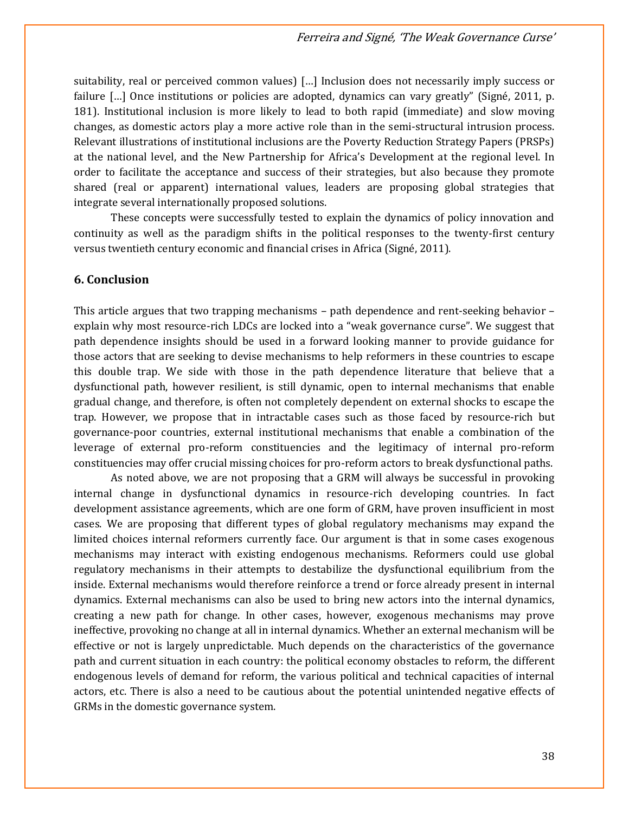suitability, real or perceived common values) […] Inclusion does not necessarily imply success or failure [...] Once institutions or policies are adopted, dynamics can vary greatly" (Signé, 2011, p. 181). Institutional inclusion is more likely to lead to both rapid (immediate) and slow moving changes, as domestic actors play a more active role than in the semi-structural intrusion process. Relevant illustrations of institutional inclusions are the Poverty Reduction Strategy Papers (PRSPs) at the national level, and the New Partnership for Africa's Development at the regional level. In order to facilitate the acceptance and success of their strategies, but also because they promote shared (real or apparent) international values, leaders are proposing global strategies that integrate several internationally proposed solutions.

These concepts were successfully tested to explain the dynamics of policy innovation and continuity as well as the paradigm shifts in the political responses to the twenty-first century versus twentieth century economic and financial crises in Africa (Signé, 2011).

## **6. Conclusion**

This article argues that two trapping mechanisms – path dependence and rent-seeking behavior – explain why most resource-rich LDCs are locked into a "weak governance curse". We suggest that path dependence insights should be used in a forward looking manner to provide guidance for those actors that are seeking to devise mechanisms to help reformers in these countries to escape this double trap. We side with those in the path dependence literature that believe that a dysfunctional path, however resilient, is still dynamic, open to internal mechanisms that enable gradual change, and therefore, is often not completely dependent on external shocks to escape the trap. However, we propose that in intractable cases such as those faced by resource-rich but governance-poor countries, external institutional mechanisms that enable a combination of the leverage of external pro-reform constituencies and the legitimacy of internal pro-reform constituencies may offer crucial missing choices for pro-reform actors to break dysfunctional paths.

As noted above, we are not proposing that a GRM will always be successful in provoking internal change in dysfunctional dynamics in resource-rich developing countries. In fact development assistance agreements, which are one form of GRM, have proven insufficient in most cases. We are proposing that different types of global regulatory mechanisms may expand the limited choices internal reformers currently face. Our argument is that in some cases exogenous mechanisms may interact with existing endogenous mechanisms. Reformers could use global regulatory mechanisms in their attempts to destabilize the dysfunctional equilibrium from the inside. External mechanisms would therefore reinforce a trend or force already present in internal dynamics. External mechanisms can also be used to bring new actors into the internal dynamics, creating a new path for change. In other cases, however, exogenous mechanisms may prove ineffective, provoking no change at all in internal dynamics. Whether an external mechanism will be effective or not is largely unpredictable. Much depends on the characteristics of the governance path and current situation in each country: the political economy obstacles to reform, the different endogenous levels of demand for reform, the various political and technical capacities of internal actors, etc. There is also a need to be cautious about the potential unintended negative effects of GRMs in the domestic governance system.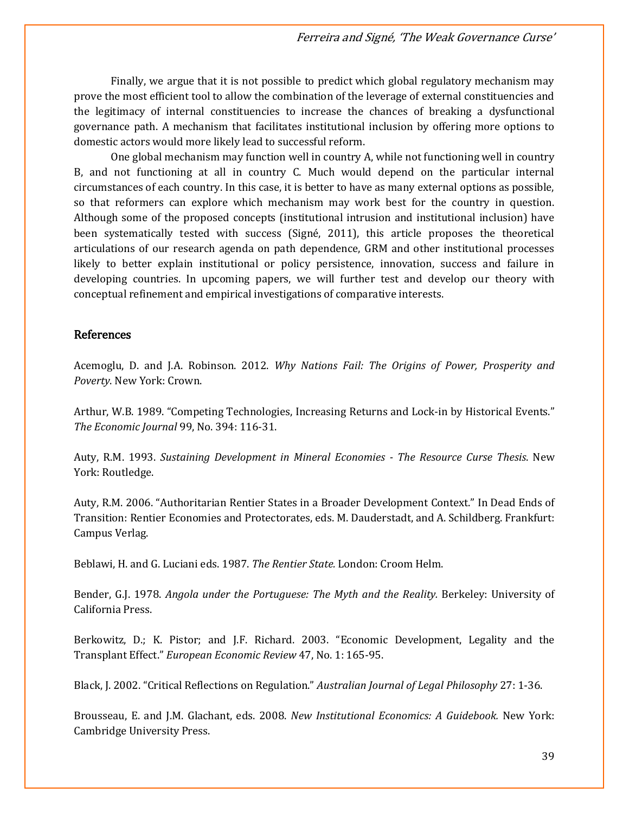Finally, we argue that it is not possible to predict which global regulatory mechanism may prove the most efficient tool to allow the combination of the leverage of external constituencies and the legitimacy of internal constituencies to increase the chances of breaking a dysfunctional governance path. A mechanism that facilitates institutional inclusion by offering more options to domestic actors would more likely lead to successful reform.

One global mechanism may function well in country A, while not functioning well in country B, and not functioning at all in country C. Much would depend on the particular internal circumstances of each country. In this case, it is better to have as many external options as possible, so that reformers can explore which mechanism may work best for the country in question. Although some of the proposed concepts (institutional intrusion and institutional inclusion) have been systematically tested with success (Signé, 2011), this article proposes the theoretical articulations of our research agenda on path dependence, GRM and other institutional processes likely to better explain institutional or policy persistence, innovation, success and failure in developing countries. In upcoming papers, we will further test and develop our theory with conceptual refinement and empirical investigations of comparative interests.

## References

Acemoglu, D. and J.A. Robinson. 2012. *Why Nations Fail: The Origins of Power, Prosperity and Poverty*. New York: Crown.

Arthur, W.B. 1989. "Competing Technologies, Increasing Returns and Lock-in by Historical Events." *The Economic Journal* 99, No. 394: 116-31.

Auty, R.M. 1993. *Sustaining Development in Mineral Economies - The Resource Curse Thesis*. New York: Routledge.

Auty, R.M. 2006. "Authoritarian Rentier States in a Broader Development Context." In Dead Ends of Transition: Rentier Economies and Protectorates, eds. M. Dauderstadt, and A. Schildberg. Frankfurt: Campus Verlag.

Beblawi, H. and G. Luciani eds. 1987. *The Rentier State.* London: Croom Helm.

Bender, G.J. 1978. *Angola under the Portuguese: The Myth and the Reality.* Berkeley: University of California Press.

Berkowitz, D.; K. Pistor; and J.F. Richard. 2003. "Economic Development, Legality and the Transplant Effect." *European Economic Review* 47, No. 1: 165-95.

Black, J. 2002. "Critical Reflections on Regulation." *Australian Journal of Legal Philosophy* 27: 1-36.

Brousseau, E. and J.M. Glachant, eds. 2008. *New Institutional Economics: A Guidebook.* New York: Cambridge University Press.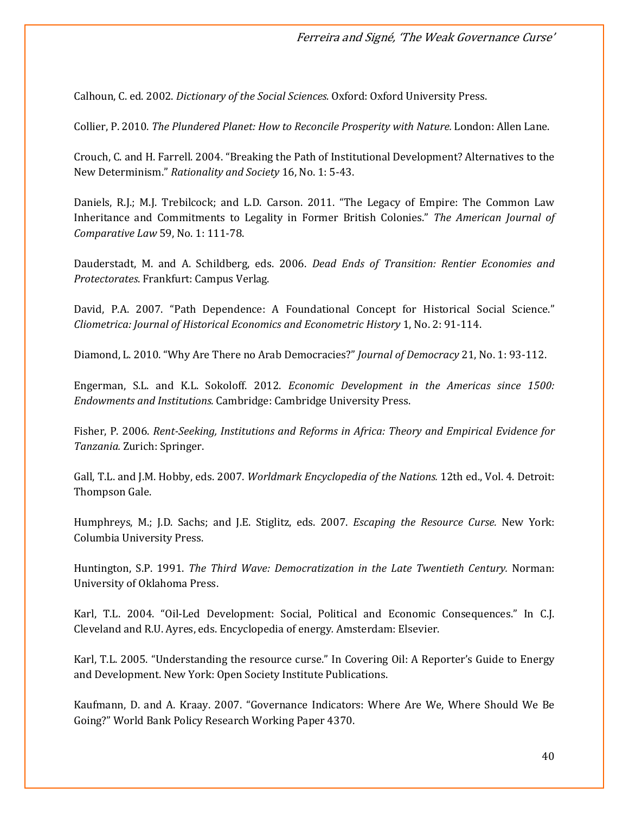Calhoun, C. ed. 2002. *Dictionary of the Social Sciences.* Oxford: Oxford University Press.

Collier, P. 2010. *The Plundered Planet: How to Reconcile Prosperity with Nature.* London: Allen Lane.

Crouch, C. and H. Farrell. 2004. "Breaking the Path of Institutional Development? Alternatives to the New Determinism." *Rationality and Society* 16, No. 1: 5-43.

Daniels, R.J.; M.J. Trebilcock; and L.D. Carson. 2011. "The Legacy of Empire: The Common Law Inheritance and Commitments to Legality in Former British Colonies." *The American Journal of Comparative Law* 59, No. 1: 111-78.

Dauderstadt, M. and A. Schildberg, eds. 2006. *Dead Ends of Transition: Rentier Economies and Protectorates*. Frankfurt: Campus Verlag.

David, P.A. 2007. "Path Dependence: A Foundational Concept for Historical Social Science." *Cliometrica: Journal of Historical Economics and Econometric History* 1, No. 2: 91-114.

Diamond, L. 2010. "Why Are There no Arab Democracies?" *Journal of Democracy* 21, No. 1: 93-112.

Engerman, S.L. and K.L. Sokoloff. 2012. *Economic Development in the Americas since 1500: Endowments and Institutions.* Cambridge: Cambridge University Press.

Fisher, P. 2006. *Rent-Seeking, Institutions and Reforms in Africa: Theory and Empirical Evidence for Tanzania.* Zurich: Springer.

Gall, T.L. and J.M. Hobby, eds. 2007. *Worldmark Encyclopedia of the Nations.* 12th ed., Vol. 4. Detroit: Thompson Gale.

Humphreys, M.; J.D. Sachs; and J.E. Stiglitz, eds. 2007. *Escaping the Resource Curse.* New York: Columbia University Press.

Huntington, S.P. 1991. *The Third Wave: Democratization in the Late Twentieth Century.* Norman: University of Oklahoma Press.

Karl, T.L. 2004. "Oil-Led Development: Social, Political and Economic Consequences." In C.J. Cleveland and R.U. Ayres, eds. Encyclopedia of energy*.* Amsterdam: Elsevier.

Karl, T.L. 2005. "Understanding the resource curse." In Covering Oil: A Reporter's Guide to Energy and Development. New York: Open Society Institute Publications.

Kaufmann, D. and A. Kraay. 2007. "Governance Indicators: Where Are We, Where Should We Be Going?" World Bank Policy Research Working Paper 4370.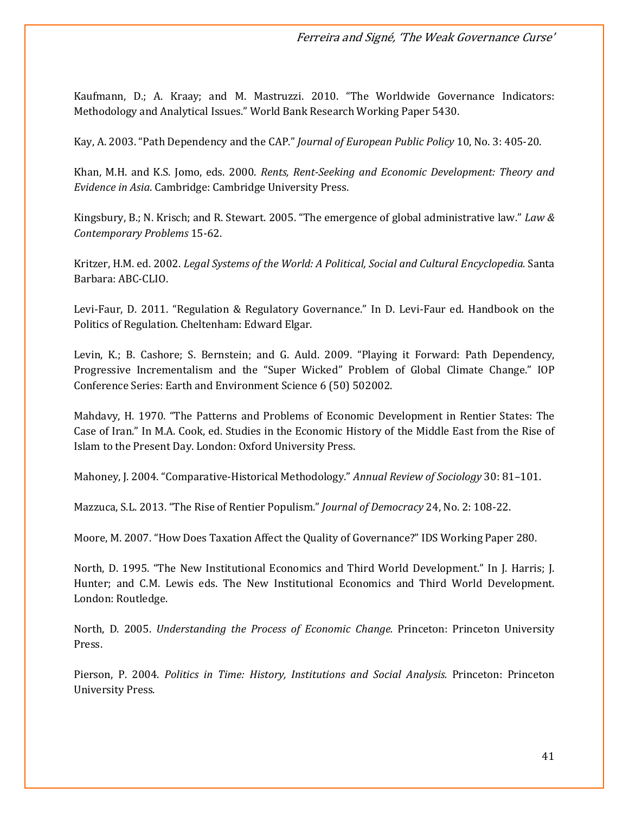Kaufmann, D.; A. Kraay; and M. Mastruzzi. 2010. "The Worldwide Governance Indicators: Methodology and Analytical Issues." World Bank Research Working Paper 5430.

Kay, A. 2003. "Path Dependency and the CAP." *Journal of European Public Policy* 10, No. 3: 405-20.

Khan, M.H. and K.S. Jomo, eds. 2000. *Rents, Rent-Seeking and Economic Development: Theory and Evidence in Asia*. Cambridge: Cambridge University Press.

Kingsbury, B.; N. Krisch; and R. Stewart. 2005. "The emergence of global administrative law." *Law & Contemporary Problems* 15-62.

Kritzer, H.M. ed. 2002. *Legal Systems of the World: A Political, Social and Cultural Encyclopedia.* Santa Barbara: ABC-CLIO.

Levi-Faur, D. 2011. "Regulation & Regulatory Governance." In D. Levi-Faur ed. Handbook on the Politics of Regulation. Cheltenham: Edward Elgar.

Levin, K.; B. Cashore; S. Bernstein; and G. Auld. 2009. "Playing it Forward: Path Dependency, Progressive Incrementalism and the "Super Wicked" Problem of Global Climate Change." IOP Conference Series: Earth and Environment Science 6 (50) 502002.

Mahdavy, H. 1970. "The Patterns and Problems of Economic Development in Rentier States: The Case of Iran." In M.A. Cook, ed. Studies in the Economic History of the Middle East from the Rise of Islam to the Present Day. London: Oxford University Press.

Mahoney, J. 2004. "Comparative-Historical Methodology." *Annual Review of Sociology* 30: 81–101.

Mazzuca, S.L. 2013. "The Rise of Rentier Populism." *Journal of Democracy* 24, No. 2: 108-22.

Moore, M. 2007. "How Does Taxation Affect the Quality of Governance?" IDS Working Paper 280.

North, D. 1995. "The New Institutional Economics and Third World Development." In J. Harris; J. Hunter; and C.M. Lewis eds. The New Institutional Economics and Third World Development. London: Routledge.

North, D. 2005. *Understanding the Process of Economic Change.* Princeton: Princeton University Press.

Pierson, P. 2004. *Politics in Time: History, Institutions and Social Analysis.* Princeton: Princeton University Press.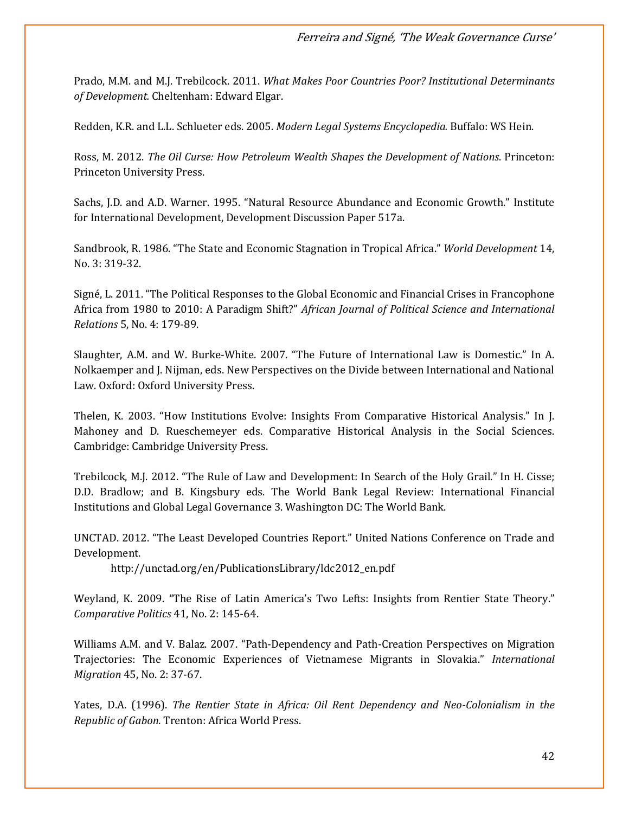Prado, M.M. and M.J. Trebilcock. 2011. *What Makes Poor Countries Poor? Institutional Determinants of Development.* Cheltenham: Edward Elgar.

Redden, K.R. and L.L. Schlueter eds. 2005. *Modern Legal Systems Encyclopedia.* Buffalo: WS Hein.

Ross, M. 2012. *The Oil Curse: How Petroleum Wealth Shapes the Development of Nations*. Princeton: Princeton University Press.

Sachs, J.D. and A.D. Warner. 1995. "Natural Resource Abundance and Economic Growth." Institute for International Development, Development Discussion Paper 517a.

Sandbrook, R. 1986. "The State and Economic Stagnation in Tropical Africa." *World Development* 14, No. 3: 319-32.

Signé, L. 2011. "The Political Responses to the Global Economic and Financial Crises in Francophone Africa from 1980 to 2010: A Paradigm Shift?" *African Journal of Political Science and International Relations* 5, No. 4: 179-89.

Slaughter, A.M. and W. Burke-White. 2007. "The Future of International Law is Domestic." In A. Nolkaemper and J. Nijman, eds. New Perspectives on the Divide between International and National Law. Oxford: Oxford University Press.

Thelen, K. 2003. "How Institutions Evolve: Insights From Comparative Historical Analysis." In J. Mahoney and D. Rueschemeyer eds. Comparative Historical Analysis in the Social Sciences. Cambridge: Cambridge University Press.

Trebilcock, M.J. 2012. "The Rule of Law and Development: In Search of the Holy Grail." In H. Cisse; D.D. Bradlow; and B. Kingsbury eds. The World Bank Legal Review: International Financial Institutions and Global Legal Governance 3. Washington DC: The World Bank.

UNCTAD. 2012. "The Least Developed Countries Report." United Nations Conference on Trade and Development.

http://unctad.org/en/PublicationsLibrary/ldc2012\_en.pdf

Weyland, K. 2009. "The Rise of Latin America's Two Lefts: Insights from Rentier State Theory." *Comparative Politics* 41, No. 2: 145-64.

Williams A.M. and V. Balaz. 2007. "Path-Dependency and Path-Creation Perspectives on Migration Trajectories: The Economic Experiences of Vietnamese Migrants in Slovakia." *International Migration* 45, No. 2: 37-67.

Yates, D.A. (1996). *The Rentier State in Africa: Oil Rent Dependency and Neo-Colonialism in the Republic of Gabon.* Trenton: Africa World Press.